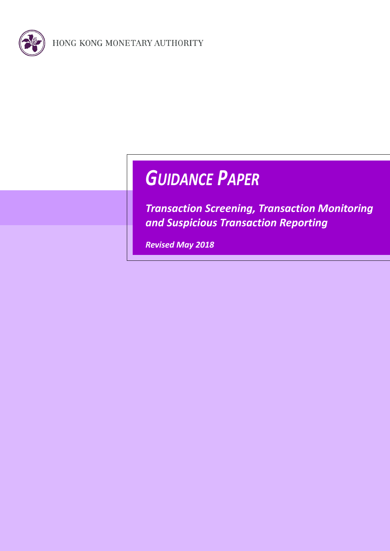

# *GUIDANCE PAPER*

*Transaction Screening, Transaction Monitoring and Suspicious Transaction Reporting*

*Revised May 2018*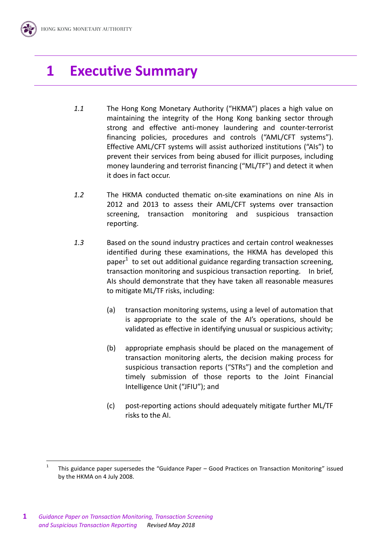# **1 Executive Summary**

- *1.1* The Hong Kong Monetary Authority ("HKMA") places a high value on maintaining the integrity of the Hong Kong banking sector through strong and effective anti-money laundering and counter-terrorist financing policies, procedures and controls ("AML/CFT systems"). Effective AML/CFT systems will assist authorized institutions ("AIs") to prevent their services from being abused for illicit purposes, including money laundering and terrorist financing ("ML/TF") and detect it when it does in fact occur.
- *1.2* The HKMA conducted thematic on-site examinations on nine AIs in 2012 and 2013 to assess their AML/CFT systems over transaction screening, transaction monitoring and suspicious transaction reporting.
- *1.3* Based on the sound industry practices and certain control weaknesses identified during these examinations, the HKMA has developed this paper $1$  to set out additional guidance regarding transaction screening, transaction monitoring and suspicious transaction reporting. In brief, AIs should demonstrate that they have taken all reasonable measures to mitigate ML/TF risks, including:
	- (a) transaction monitoring systems, using a level of automation that is appropriate to the scale of the AI's operations, should be validated as effective in identifying unusual or suspicious activity;
	- (b) appropriate emphasis should be placed on the management of transaction monitoring alerts, the decision making process for suspicious transaction reports ("STRs") and the completion and timely submission of those reports to the Joint Financial Intelligence Unit ("JFIU"); and
	- (c) post-reporting actions should adequately mitigate further ML/TF risks to the AI.

<sup>1</sup> This guidance paper supersedes the "Guidance Paper – Good Practices on Transaction Monitoring" issued by the HKMA on 4 July 2008.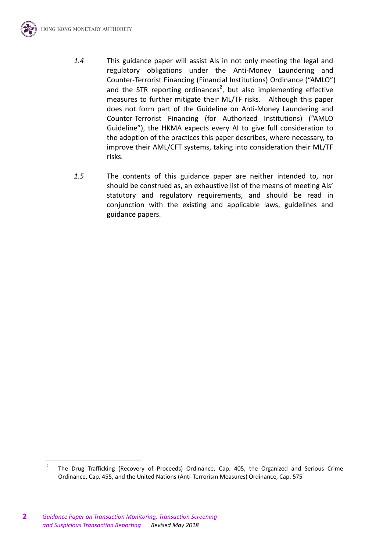

*1.5* The contents of this guidance paper are neither intended to, nor should be construed as, an exhaustive list of the means of meeting AIs' statutory and regulatory requirements, and should be read in conjunction with the existing and applicable laws, guidelines and guidance papers.

<sup>2</sup> The Drug Trafficking (Recovery of Proceeds) Ordinance, Cap. 405, the Organized and Serious Crime Ordinance, Cap. 455, and the United Nations (Anti-Terrorism Measures) Ordinance, Cap. 575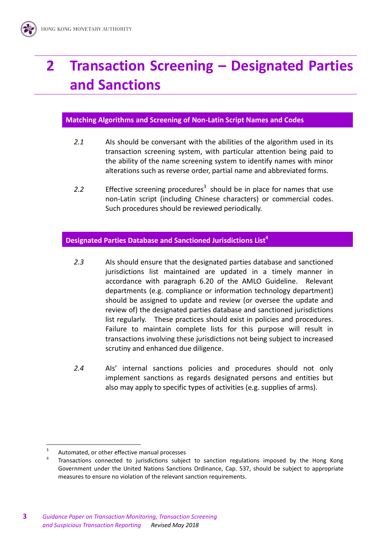# **2 Transaction Screening – Designated Parties and Sanctions**

#### **Matching Algorithms and Screening of Non-Latin Script Names and Codes**

- *2.1* AIs should be conversant with the abilities of the algorithm used in its transaction screening system, with particular attention being paid to the ability of the name screening system to identify names with minor alterations such as reverse order, partial name and abbreviated forms.
- 2.2 Effective screening procedures<sup>3</sup> should be in place for names that use non-Latin script (including Chinese characters) or commercial codes. Such procedures should be reviewed periodically.

#### **Designated Parties Database and Sanctioned Jurisdictions List<sup>4</sup>**

- *2.3* AIs should ensure that the designated parties database and sanctioned jurisdictions list maintained are updated in a timely manner in accordance with paragraph 6.20 of the AMLO Guideline. Relevant departments (e.g. compliance or information technology department) should be assigned to update and review (or oversee the update and review of) the designated parties database and sanctioned jurisdictions list regularly. These practices should exist in policies and procedures. Failure to maintain complete lists for this purpose will result in transactions involving these jurisdictions not being subject to increased scrutiny and enhanced due diligence.
- *2.4* AIs' internal sanctions policies and procedures should not only implement sanctions as regards designated persons and entities but also may apply to specific types of activities (e.g. supplies of arms).

<sup>3</sup> Automated, or other effective manual processes

<sup>4</sup> Transactions connected to jurisdictions subject to sanction regulations imposed by the Hong Kong Government under the United Nations Sanctions Ordinance, Cap. 537, should be subject to appropriate measures to ensure no violation of the relevant sanction requirements.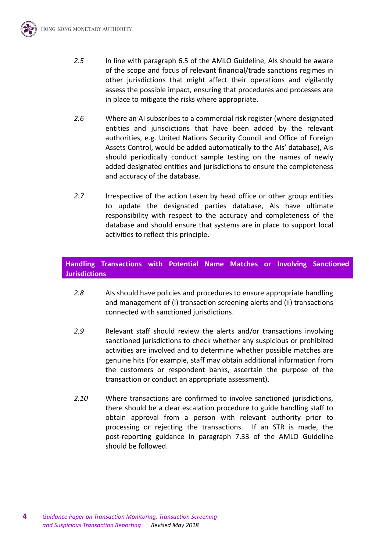

- *2.6* Where an AI subscribes to a commercial risk register (where designated entities and jurisdictions that have been added by the relevant authorities, e.g. United Nations Security Council and Office of Foreign Assets Control, would be added automatically to the AIs' database), AIs should periodically conduct sample testing on the names of newly added designated entities and jurisdictions to ensure the completeness and accuracy of the database.
- *2.7* Irrespective of the action taken by head office or other group entities to update the designated parties database, AIs have ultimate responsibility with respect to the accuracy and completeness of the database and should ensure that systems are in place to support local activities to reflect this principle.

# **Handling Transactions with Potential Name Matches or Involving Sanctioned Jurisdictions**

- *2.8* AIs should have policies and procedures to ensure appropriate handling and management of (i) transaction screening alerts and (ii) transactions connected with sanctioned jurisdictions.
- *2.9* Relevant staff should review the alerts and/or transactions involving sanctioned jurisdictions to check whether any suspicious or prohibited activities are involved and to determine whether possible matches are genuine hits (for example, staff may obtain additional information from the customers or respondent banks, ascertain the purpose of the transaction or conduct an appropriate assessment).
- *2.10* Where transactions are confirmed to involve sanctioned jurisdictions, there should be a clear escalation procedure to guide handling staff to obtain approval from a person with relevant authority prior to processing or rejecting the transactions. If an STR is made, the post-reporting guidance in paragraph 7.33 of the AMLO Guideline should be followed.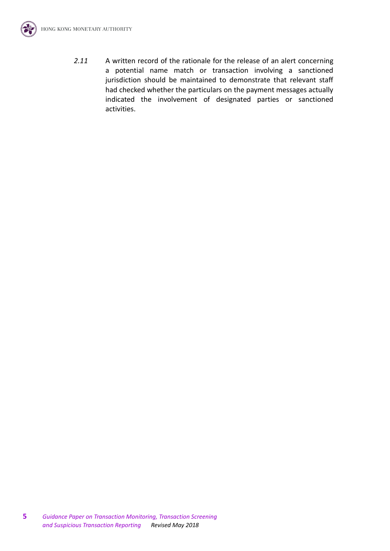

*2.11* A written record of the rationale for the release of an alert concerning a potential name match or transaction involving a sanctioned jurisdiction should be maintained to demonstrate that relevant staff had checked whether the particulars on the payment messages actually indicated the involvement of designated parties or sanctioned activities.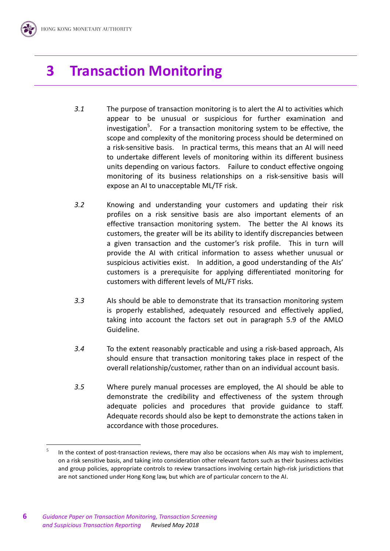# **3 Transaction Monitoring**

- *3.1* The purpose of transaction monitoring is to alert the AI to activities which appear to be unusual or suspicious for further examination and investigation<sup>5</sup>. For a transaction monitoring system to be effective, the scope and complexity of the monitoring process should be determined on a risk-sensitive basis. In practical terms, this means that an AI will need to undertake different levels of monitoring within its different business units depending on various factors. Failure to conduct effective ongoing monitoring of its business relationships on a risk-sensitive basis will expose an AI to unacceptable ML/TF risk.
- *3.2* Knowing and understanding your customers and updating their risk profiles on a risk sensitive basis are also important elements of an effective transaction monitoring system. The better the AI knows its customers, the greater will be its ability to identify discrepancies between a given transaction and the customer's risk profile. This in turn will provide the AI with critical information to assess whether unusual or suspicious activities exist. In addition, a good understanding of the AIs' customers is a prerequisite for applying differentiated monitoring for customers with different levels of ML/FT risks.
- *3.3* AIs should be able to demonstrate that its transaction monitoring system is properly established, adequately resourced and effectively applied, taking into account the factors set out in paragraph 5.9 of the AMLO Guideline.
- *3.4* To the extent reasonably practicable and using a risk-based approach, AIs should ensure that transaction monitoring takes place in respect of the overall relationship/customer, rather than on an individual account basis.
- *3.5* Where purely manual processes are employed, the AI should be able to demonstrate the credibility and effectiveness of the system through adequate policies and procedures that provide guidance to staff. Adequate records should also be kept to demonstrate the actions taken in accordance with those procedures.

<sup>5</sup> In the context of post-transaction reviews, there may also be occasions when AIs may wish to implement, on a risk sensitive basis, and taking into consideration other relevant factors such as their business activities and group policies, appropriate controls to review transactions involving certain high-risk jurisdictions that are not sanctioned under Hong Kong law, but which are of particular concern to the AI.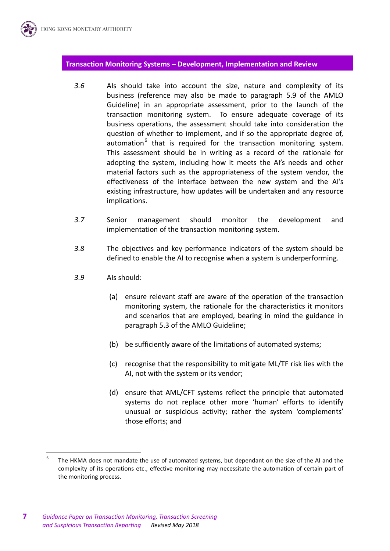#### **Transaction Monitoring Systems – Development, Implementation and Review**

- *3.6* AIs should take into account the size, nature and complexity of its business (reference may also be made to paragraph 5.9 of the AMLO Guideline) in an appropriate assessment, prior to the launch of the transaction monitoring system. To ensure adequate coverage of its business operations, the assessment should take into consideration the question of whether to implement, and if so the appropriate degree of, automation<sup>6</sup> that is required for the transaction monitoring system. This assessment should be in writing as a record of the rationale for adopting the system, including how it meets the AI's needs and other material factors such as the appropriateness of the system vendor, the effectiveness of the interface between the new system and the AI's existing infrastructure, how updates will be undertaken and any resource implications.
- *3.7* Senior management should monitor the development and implementation of the transaction monitoring system.
- *3.8* The objectives and key performance indicators of the system should be defined to enable the AI to recognise when a system is underperforming.
- *3.9* AIs should:
	- (a) ensure relevant staff are aware of the operation of the transaction monitoring system, the rationale for the characteristics it monitors and scenarios that are employed, bearing in mind the guidance in paragraph 5.3 of the AMLO Guideline;
	- (b) be sufficiently aware of the limitations of automated systems;
	- (c) recognise that the responsibility to mitigate ML/TF risk lies with the AI, not with the system or its vendor;
	- (d) ensure that AML/CFT systems reflect the principle that automated systems do not replace other more 'human' efforts to identify unusual or suspicious activity; rather the system 'complements' those efforts; and

<sup>6</sup> The HKMA does not mandate the use of automated systems, but dependant on the size of the AI and the complexity of its operations etc., effective monitoring may necessitate the automation of certain part of the monitoring process.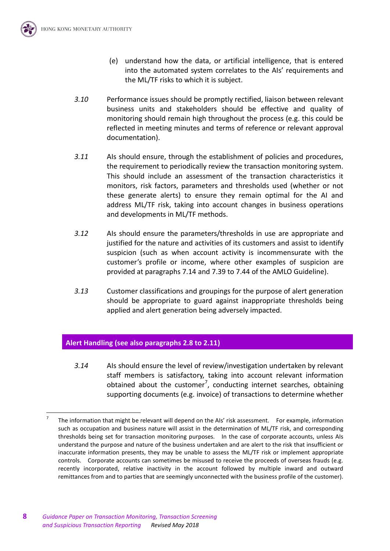

- (e) understand how the data, or artificial intelligence, that is entered into the automated system correlates to the AIs' requirements and the ML/TF risks to which it is subject.
- *3.10* Performance issues should be promptly rectified, liaison between relevant business units and stakeholders should be effective and quality of monitoring should remain high throughout the process (e.g. this could be reflected in meeting minutes and terms of reference or relevant approval documentation).
- *3.11* AIs should ensure, through the establishment of policies and procedures, the requirement to periodically review the transaction monitoring system. This should include an assessment of the transaction characteristics it monitors, risk factors, parameters and thresholds used (whether or not these generate alerts) to ensure they remain optimal for the AI and address ML/TF risk, taking into account changes in business operations and developments in ML/TF methods.
- *3.12* AIs should ensure the parameters/thresholds in use are appropriate and justified for the nature and activities of its customers and assist to identify suspicion (such as when account activity is incommensurate with the customer's profile or income, where other examples of suspicion are provided at paragraphs 7.14 and 7.39 to 7.44 of the AMLO Guideline).
- *3.13* Customer classifications and groupings for the purpose of alert generation should be appropriate to guard against inappropriate thresholds being applied and alert generation being adversely impacted.

# **Alert Handling (see also paragraphs 2.8 to 2.11)**

*3.14* AIs should ensure the level of review/investigation undertaken by relevant staff members is satisfactory, taking into account relevant information obtained about the customer<sup>7</sup>, conducting internet searches, obtaining supporting documents (e.g. invoice) of transactions to determine whether

<sup>7</sup> The information that might be relevant will depend on the AIs' risk assessment. For example, information such as occupation and business nature will assist in the determination of ML/TF risk, and corresponding thresholds being set for transaction monitoring purposes. In the case of corporate accounts, unless AIs understand the purpose and nature of the business undertaken and are alert to the risk that insufficient or inaccurate information presents, they may be unable to assess the ML/TF risk or implement appropriate controls. Corporate accounts can sometimes be misused to receive the proceeds of overseas frauds (e.g. recently incorporated, relative inactivity in the account followed by multiple inward and outward remittances from and to parties that are seemingly unconnected with the business profile of the customer).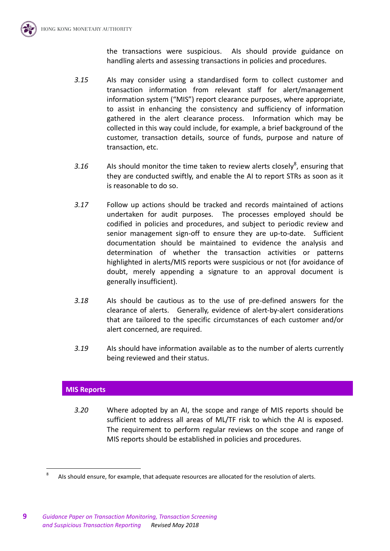the transactions were suspicious. AIs should provide guidance on handling alerts and assessing transactions in policies and procedures.

- *3.15* AIs may consider using a standardised form to collect customer and transaction information from relevant staff for alert/management information system ("MIS") report clearance purposes, where appropriate, to assist in enhancing the consistency and sufficiency of information gathered in the alert clearance process. Information which may be collected in this way could include, for example, a brief background of the customer, transaction details, source of funds, purpose and nature of transaction, etc.
- 3.16  $\blacksquare$  AIs should monitor the time taken to review alerts closely<sup>8</sup>, ensuring that they are conducted swiftly, and enable the AI to report STRs as soon as it is reasonable to do so.
- *3.17* Follow up actions should be tracked and records maintained of actions undertaken for audit purposes. The processes employed should be codified in policies and procedures, and subject to periodic review and senior management sign-off to ensure they are up-to-date. Sufficient documentation should be maintained to evidence the analysis and determination of whether the transaction activities or patterns highlighted in alerts/MIS reports were suspicious or not (for avoidance of doubt, merely appending a signature to an approval document is generally insufficient).
- *3.18* AIs should be cautious as to the use of pre-defined answers for the clearance of alerts. Generally, evidence of alert-by-alert considerations that are tailored to the specific circumstances of each customer and/or alert concerned, are required.
- *3.19* AIs should have information available as to the number of alerts currently being reviewed and their status.

# **MIS Reports**

 $\overline{a}$ 

*3.20* Where adopted by an AI, the scope and range of MIS reports should be sufficient to address all areas of ML/TF risk to which the AI is exposed. The requirement to perform regular reviews on the scope and range of MIS reports should be established in policies and procedures.

<sup>8</sup> AIs should ensure, for example, that adequate resources are allocated for the resolution of alerts.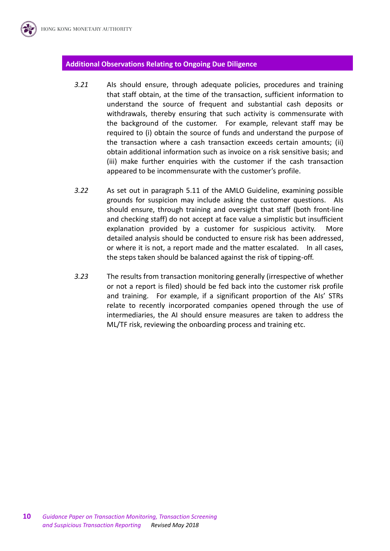#### **Additional Observations Relating to Ongoing Due Diligence**

- *3.21* AIs should ensure, through adequate policies, procedures and training that staff obtain, at the time of the transaction, sufficient information to understand the source of frequent and substantial cash deposits or withdrawals, thereby ensuring that such activity is commensurate with the background of the customer. For example, relevant staff may be required to (i) obtain the source of funds and understand the purpose of the transaction where a cash transaction exceeds certain amounts; (ii) obtain additional information such as invoice on a risk sensitive basis; and (iii) make further enquiries with the customer if the cash transaction appeared to be incommensurate with the customer's profile.
- *3.22* As set out in paragraph 5.11 of the AMLO Guideline, examining possible grounds for suspicion may include asking the customer questions. AIs should ensure, through training and oversight that staff (both front-line and checking staff) do not accept at face value a simplistic but insufficient explanation provided by a customer for suspicious activity. More detailed analysis should be conducted to ensure risk has been addressed, or where it is not, a report made and the matter escalated. In all cases, the steps taken should be balanced against the risk of tipping-off.
- *3.23* The results from transaction monitoring generally (irrespective of whether or not a report is filed) should be fed back into the customer risk profile and training. For example, if a significant proportion of the AIs' STRs relate to recently incorporated companies opened through the use of intermediaries, the AI should ensure measures are taken to address the ML/TF risk, reviewing the onboarding process and training etc.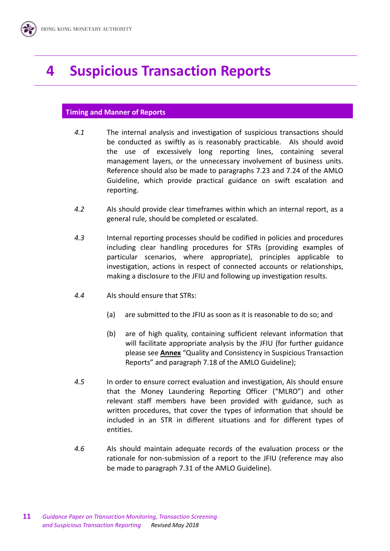# **4 Suspicious Transaction Reports**

### **Timing and Manner of Reports**

- *4.1* The internal analysis and investigation of suspicious transactions should be conducted as swiftly as is reasonably practicable. AIs should avoid the use of excessively long reporting lines, containing several management layers, or the unnecessary involvement of business units. Reference should also be made to paragraphs 7.23 and 7.24 of the AMLO Guideline, which provide practical guidance on swift escalation and reporting.
- *4.2* AIs should provide clear timeframes within which an internal report, as a general rule, should be completed or escalated.
- *4.3* Internal reporting processes should be codified in policies and procedures including clear handling procedures for STRs (providing examples of particular scenarios, where appropriate), principles applicable to investigation, actions in respect of connected accounts or relationships, making a disclosure to the JFIU and following up investigation results.
- *4.4* AIs should ensure that STRs:
	- (a) are submitted to the JFIU as soon as it is reasonable to do so; and
	- (b) are of high quality, containing sufficient relevant information that will facilitate appropriate analysis by the JFIU (for further guidance please see **Annex** "Quality and Consistency in Suspicious Transaction Reports" and paragraph 7.18 of the AMLO Guideline);
- *4.5* In order to ensure correct evaluation and investigation, AIs should ensure that the Money Laundering Reporting Officer ("MLRO") and other relevant staff members have been provided with guidance, such as written procedures, that cover the types of information that should be included in an STR in different situations and for different types of entities.
- *4.6* AIs should maintain adequate records of the evaluation process or the rationale for non-submission of a report to the JFIU (reference may also be made to paragraph 7.31 of the AMLO Guideline).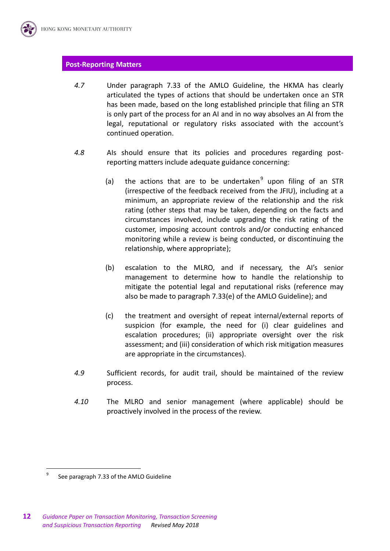### **Post-Reporting Matters**

- *4.7* Under paragraph 7.33 of the AMLO Guideline, the HKMA has clearly articulated the types of actions that should be undertaken once an STR has been made, based on the long established principle that filing an STR is only part of the process for an AI and in no way absolves an AI from the legal, reputational or regulatory risks associated with the account's continued operation.
- *4.8* AIs should ensure that its policies and procedures regarding postreporting matters include adequate guidance concerning:
	- (a) the actions that are to be undertaken $9$  upon filing of an STR (irrespective of the feedback received from the JFIU), including at a minimum, an appropriate review of the relationship and the risk rating (other steps that may be taken, depending on the facts and circumstances involved, include upgrading the risk rating of the customer, imposing account controls and/or conducting enhanced monitoring while a review is being conducted, or discontinuing the relationship, where appropriate);
	- (b) escalation to the MLRO, and if necessary, the AI's senior management to determine how to handle the relationship to mitigate the potential legal and reputational risks (reference may also be made to paragraph 7.33(e) of the AMLO Guideline); and
	- (c) the treatment and oversight of repeat internal/external reports of suspicion (for example, the need for (i) clear guidelines and escalation procedures; (ii) appropriate oversight over the risk assessment; and (iii) consideration of which risk mitigation measures are appropriate in the circumstances).
- *4.9* Sufficient records, for audit trail, should be maintained of the review process.
- *4.10* The MLRO and senior management (where applicable) should be proactively involved in the process of the review.

<sup>9</sup> See paragraph 7.33 of the AMLO Guideline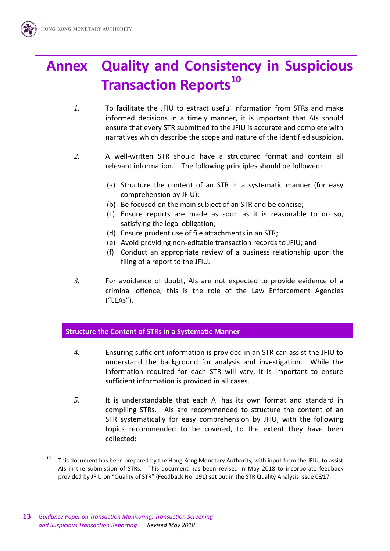# **Annex Quality and Consistency in Suspicious Transaction Reports<sup>10</sup>**

- *1.* To facilitate the JFIU to extract useful information from STRs and make informed decisions in a timely manner, it is important that AIs should ensure that every STR submitted to the JFIU is accurate and complete with narratives which describe the scope and nature of the identified suspicion.
- *2.* A well-written STR should have a structured format and contain all relevant information. The following principles should be followed:
	- (a) Structure the content of an STR in a systematic manner (for easy comprehension by JFIU);
	- (b) Be focused on the main subject of an STR and be concise;
	- (c) Ensure reports are made as soon as it is reasonable to do so, satisfying the legal obligation;
	- (d) Ensure prudent use of file attachments in an STR;
	- (e) Avoid providing non-editable transaction records to JFIU; and
	- (f) Conduct an appropriate review of a business relationship upon the filing of a report to the JFIU.
- *3.* For avoidance of doubt, AIs are not expected to provide evidence of a criminal offence; this is the role of the Law Enforcement Agencies ("LEAs").

### **Structure the Content of STRs in a Systematic Manner**

- *4.* Ensuring sufficient information is provided in an STR can assist the JFIU to understand the background for analysis and investigation. While the information required for each STR will vary, it is important to ensure sufficient information is provided in all cases.
- *5.* It is understandable that each AI has its own format and standard in compiling STRs. AIs are recommended to structure the content of an STR systematically for easy comprehension by JFIU, with the following topics recommended to be covered, to the extent they have been collected:

 $10$ This document has been prepared by the Hong Kong Monetary Authority, with input from the JFIU, to assist AIs in the submission of STRs. This document has been revised in May 2018 to incorporate feedback provided by JFIU on "Quality of STR" (Feedback No. 191) set out in the STR Quality Analysis Issue 03/17.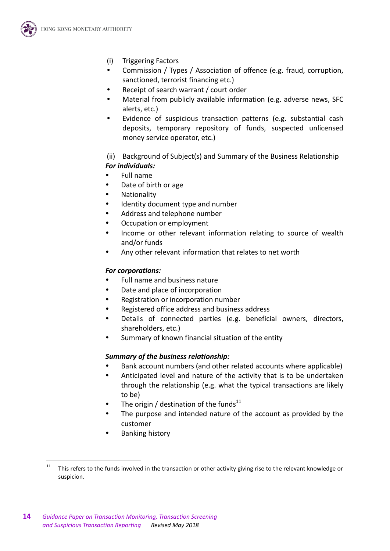

- (i) Triggering Factors
- Commission / Types / Association of offence (e.g. fraud, corruption, sanctioned, terrorist financing etc.)
- Receipt of search warrant / court order
- Material from publicly available information (e.g. adverse news, SFC alerts, etc.)
- Evidence of suspicious transaction patterns (e.g. substantial cash deposits, temporary repository of funds, suspected unlicensed money service operator, etc.)

(ii) Background of Subject(s) and Summary of the Business Relationship *For individuals:*

- Full name
- Date of birth or age
- Nationality
- Identity document type and number
- Address and telephone number
- Occupation or employment
- Income or other relevant information relating to source of wealth and/or funds
- Any other relevant information that relates to net worth

## *For corporations:*

- Full name and business nature
- Date and place of incorporation
- Registration or incorporation number
- Registered office address and business address
- Details of connected parties (e.g. beneficial owners, directors, shareholders, etc.)
- Summary of known financial situation of the entity

### *Summary of the business relationship:*

- Bank account numbers (and other related accounts where applicable)
- Anticipated level and nature of the activity that is to be undertaken through the relationship (e.g. what the typical transactions are likely to be)
- The origin / destination of the funds $^{11}$
- The purpose and intended nature of the account as provided by the customer
- Banking history

<sup>&</sup>lt;sup>11</sup> This refers to the funds involved in the transaction or other activity giving rise to the relevant knowledge or suspicion.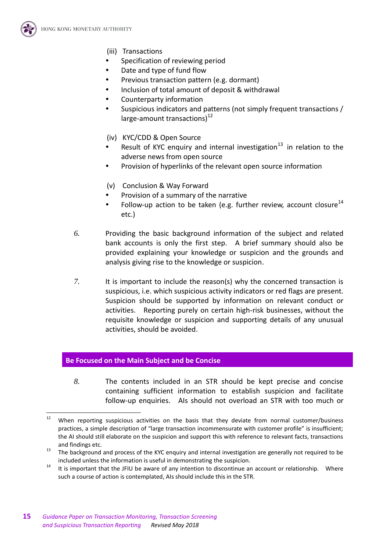

- (iii) Transactions
- Specification of reviewing period
- Date and type of fund flow
- Previous transaction pattern (e.g. dormant)
- Inclusion of total amount of deposit & withdrawal
- Counterparty information
- Suspicious indicators and patterns (not simply frequent transactions / large-amount transactions) $^{12}$
- (iv) KYC/CDD & Open Source
- Result of KYC enquiry and internal investigation<sup>13</sup> in relation to the adverse news from open source
- Provision of hyperlinks of the relevant open source information
- (v) Conclusion & Way Forward
- Provision of a summary of the narrative
- Follow-up action to be taken (e.g. further review, account closure $14$ etc.)
- *6.* Providing the basic background information of the subject and related bank accounts is only the first step. A brief summary should also be provided explaining your knowledge or suspicion and the grounds and analysis giving rise to the knowledge or suspicion.
- *7.* It is important to include the reason(s) why the concerned transaction is suspicious, i.e. which suspicious activity indicators or red flags are present. Suspicion should be supported by information on relevant conduct or activities. Reporting purely on certain high-risk businesses, without the requisite knowledge or suspicion and supporting details of any unusual activities, should be avoided.

### **Be Focused on the Main Subject and be Concise**

*8.* The contents included in an STR should be kept precise and concise containing sufficient information to establish suspicion and facilitate follow-up enquiries. AIs should not overload an STR with too much or

 $12$ When reporting suspicious activities on the basis that they deviate from normal customer/business practices, a simple description of "large transaction incommensurate with customer profile" is insufficient; the AI should still elaborate on the suspicion and support this with reference to relevant facts, transactions and findings etc.

<sup>&</sup>lt;sup>13</sup> The background and process of the KYC enquiry and internal investigation are generally not required to be included unless the information is useful in demonstrating the suspicion.

<sup>&</sup>lt;sup>14</sup> It is important that the JFIU be aware of any intention to discontinue an account or relationship. Where such a course of action is contemplated, AIs should include this in the STR.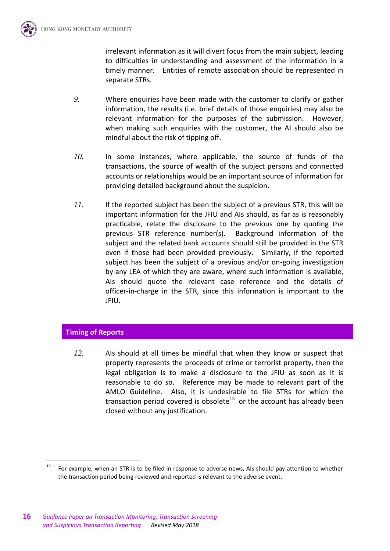irrelevant information as it will divert focus from the main subject, leading to difficulties in understanding and assessment of the information in a timely manner. Entities of remote association should be represented in separate STRs.

- *9.* Where enquiries have been made with the customer to clarify or gather information, the results (i.e. brief details of those enquiries) may also be relevant information for the purposes of the submission. However, when making such enquiries with the customer, the AI should also be mindful about the risk of tipping off.
- *10.* In some instances, where applicable, the source of funds of the transactions, the source of wealth of the subject persons and connected accounts or relationships would be an important source of information for providing detailed background about the suspicion.
- *11.* If the reported subject has been the subject of a previous STR, this will be important information for the JFIU and AIs should, as far as is reasonably practicable, relate the disclosure to the previous one by quoting the previous STR reference number(s). Background information of the subject and the related bank accounts should still be provided in the STR even if those had been provided previously. Similarly, if the reported subject has been the subject of a previous and/or on-going investigation by any LEA of which they are aware, where such information is available, AIs should quote the relevant case reference and the details of officer-in-charge in the STR, since this information is important to the JFIU.

# **Timing of Reports**

 $\overline{a}$ 

*12.* AIs should at all times be mindful that when they know or suspect that property represents the proceeds of crime or terrorist property, then the legal obligation is to make a disclosure to the JFIU as soon as it is reasonable to do so. Reference may be made to relevant part of the AMLO Guideline. Also, it is undesirable to file STRs for which the transaction period covered is obsolete<sup>15</sup> or the account has already been closed without any justification.

 $15$  For example, when an STR is to be filed in response to adverse news, AIs should pay attention to whether the transaction period being reviewed and reported is relevant to the adverse event.